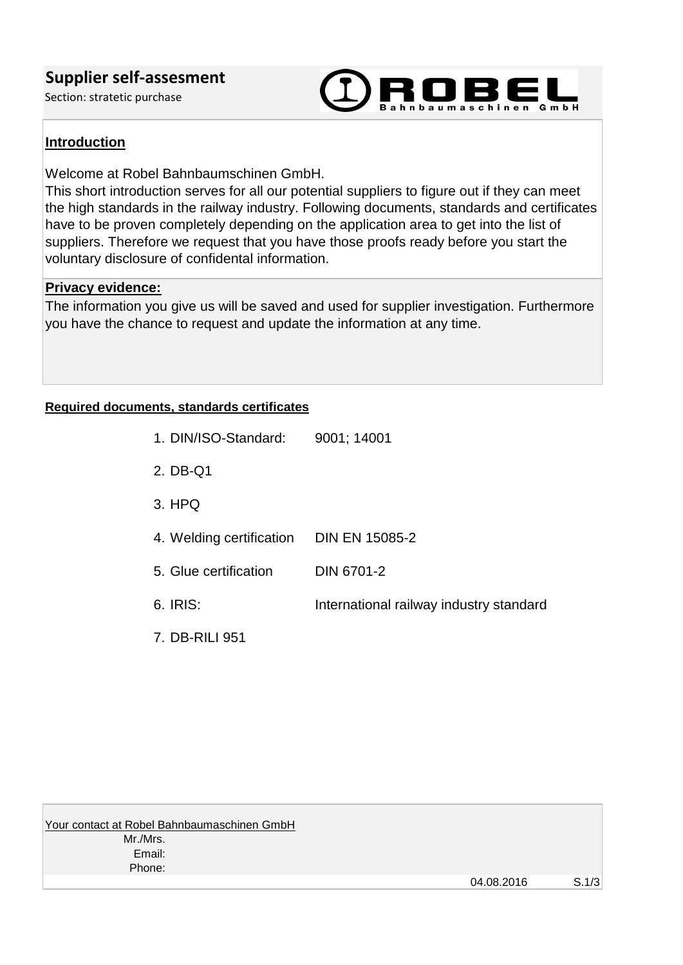## **Supplier self-assesment**

Section: stratetic purchase



#### **Introduction**

Welcome at Robel Bahnbaumschinen GmbH.

This short introduction serves for all our potential suppliers to figure out if they can meet the high standards in the railway industry. Following documents, standards and certificates have to be proven completely depending on the application area to get into the list of suppliers. Therefore we request that you have those proofs ready before you start the voluntary disclosure of confidental information.

#### **Privacy evidence:**

The information you give us will be saved and used for supplier investigation. Furthermore you have the chance to request and update the information at any time.

#### **Required documents, standards certificates**

| 1. DIN/ISO-Standard:     | 9001; 14001                             |
|--------------------------|-----------------------------------------|
| 2. DB-Q1                 |                                         |
| $3.$ HPQ                 |                                         |
| 4. Welding certification | <b>DIN EN 15085-2</b>                   |
| 5. Glue certification    | DIN 6701-2                              |
| 6. IRIS:                 | International railway industry standard |
| 7. DB-RILI 951           |                                         |

Your contact at Robel Bahnbaumaschinen GmbH Mr./Mrs. Email: Phone: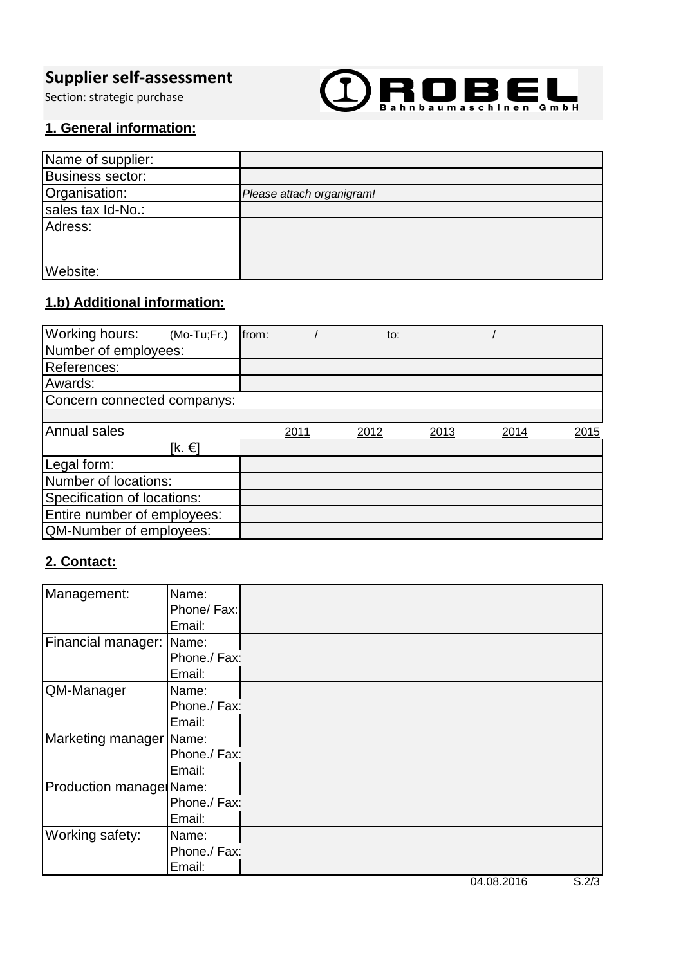# **Supplier self-assessment**

Section: strategic purchase



### **1. General information:**

| Name of supplier: |                           |
|-------------------|---------------------------|
| Business sector:  |                           |
| Organisation:     | Please attach organigram! |
| sales tax Id-No.: |                           |
| Adress:           |                           |
|                   |                           |
|                   |                           |
| Website:          |                           |

# **1.b) Additional information:**

| <b>Working hours:</b>       | $(Mo-Tu;Fr.)$ | from: |      |      | to: |      |      |      |
|-----------------------------|---------------|-------|------|------|-----|------|------|------|
| Number of employees:        |               |       |      |      |     |      |      |      |
| References:                 |               |       |      |      |     |      |      |      |
| Awards:                     |               |       |      |      |     |      |      |      |
| Concern connected companys: |               |       |      |      |     |      |      |      |
|                             |               |       |      |      |     |      |      |      |
| <b>Annual sales</b>         |               |       | 2011 | 2012 |     | 2013 | 2014 | 2015 |
|                             | [k. €]        |       |      |      |     |      |      |      |
| Legal form:                 |               |       |      |      |     |      |      |      |
| Number of locations:        |               |       |      |      |     |      |      |      |
| Specification of locations: |               |       |      |      |     |      |      |      |
| Entire number of employees: |               |       |      |      |     |      |      |      |
| QM-Number of employees:     |               |       |      |      |     |      |      |      |

## **2. Contact:**

| Management:             | Name:        |  |
|-------------------------|--------------|--|
|                         | Phone/ Fax:  |  |
|                         | Email:       |  |
| Financial manager:      | Name:        |  |
|                         | Phone./ Fax: |  |
|                         | Email:       |  |
| QM-Manager              | Name:        |  |
|                         | Phone./ Fax: |  |
|                         | Email:       |  |
| Marketing manager Name: |              |  |
|                         | Phone./ Fax: |  |
|                         | Email:       |  |
| Production manage Name: |              |  |
|                         | Phone./ Fax: |  |
|                         | Email:       |  |
| Working safety:         | Name:        |  |
|                         | Phone./ Fax: |  |
|                         | Email:       |  |